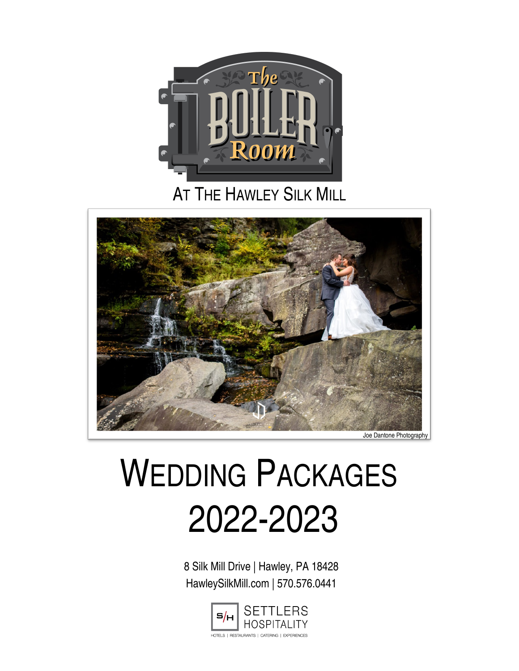

# **AT THE HAWLEY SILK MILL**



# WEDDING PACKAGES 2022-2023

8 Silk Mill Drive | Hawley, PA 18428 HawleySilkMill.com | 570.576.0441

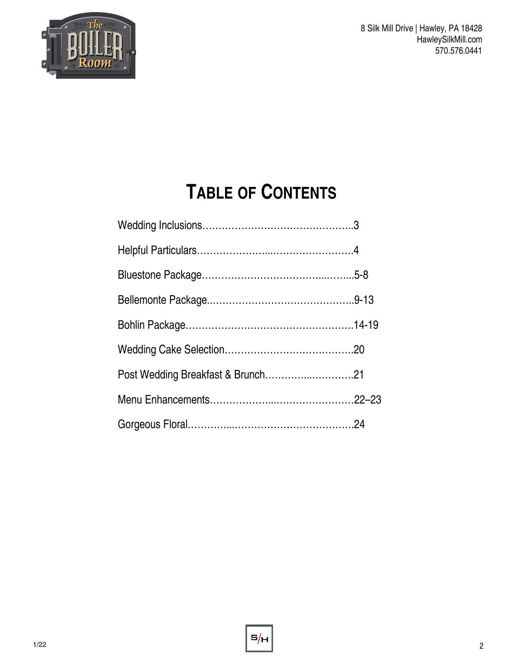

# **TABLE OF CONTENTS**

| Post Wedding Breakfast & Brunch21 |  |
|-----------------------------------|--|
|                                   |  |
|                                   |  |

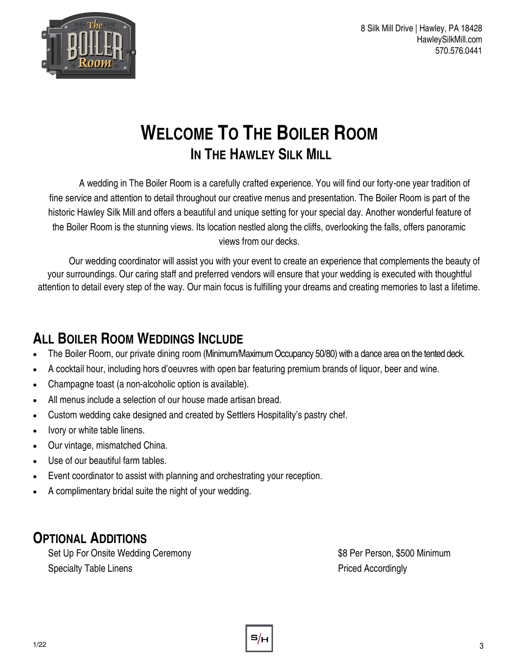



# **WELCOME TO THE BOILER ROOM IN THE HAWLEY SILK MILL**

A wedding in The Boiler Room is a carefully crafted experience. You will find our forty-one year tradition of fine service and attention to detail throughout our creative menus and presentation. The Boiler Room is part of the historic Hawley Silk Mill and offers a beautiful and unique setting for your special day. Another wonderful feature of the Boiler Room is the stunning views. Its location nestled along the cliffs, overlooking the falls, offers panoramic views from our decks.

Our wedding coordinator will assist you with your event to create an experience that complements the beauty of your surroundings. Our caring staff and preferred vendors will ensure that your wedding is executed with thoughtful attention to detail every step of the way. Our main focus is fulfilling your dreams and creating memories to last a lifetime.

# **ALL BOILER ROOM WEDDINGS INCLUDE**

- The Boiler Room, our private dining room (Minimum/Maximum Occupancy 50/80) with a dance area on the tented deck.
- A cocktail hour, including hors d'oeuvres with open bar featuring premium brands of liquor, beer and wine.
- Champagne toast (a non-alcoholic option is available).
- All menus include a selection of our house made artisan bread.
- Custom wedding cake designed and created by Settlers Hospitality's pastry chef.
- Ivory or white table linens.
- Our vintage, mismatched China.
- Use of our beautiful farm tables.
- Event coordinator to assist with planning and orchestrating your reception.
- A complimentary bridal suite the night of your wedding.

# **OPTIONAL ADDITIONS**

Set Up For Onsite Wedding Ceremony **\$8 Per Person, \$500 Minimum** Specialty Table Linens **Priced Accordingly** 

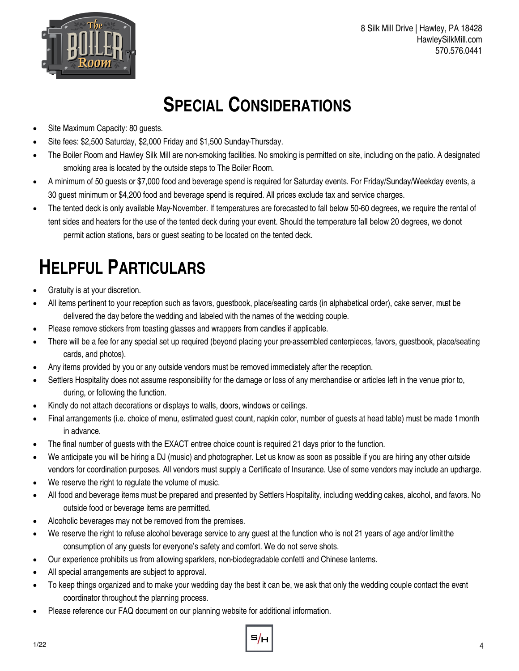



# **SPECIAL CONSIDERATIONS**

- Site Maximum Capacity: 80 guests.
- Site fees: \$2,500 Saturday, \$2,000 Friday and \$1,500 Sunday-Thursday.
- The Boiler Room and Hawley Silk Mill are non-smoking facilities. No smoking is permitted on site, including on the patio. A designated smoking area is located by the outside steps to The Boiler Room.
- A minimum of 50 guests or \$7,000 food and beverage spend is required for Saturday events. For Friday/Sunday/Weekday events, a 30 guest minimum or \$4,200 food and beverage spend is required. All prices exclude tax and service charges.
- The tented deck is only available May-November. If temperatures are forecasted to fall below 50-60 degrees, we require the rental of tent sides and heaters for the use of the tented deck during your event. Should the temperature fall below 20 degrees, we do not permit action stations, bars or guest seating to be located on the tented deck.

# **HELPFUL PARTICULARS**

- Gratuity is at your discretion.
- All items pertinent to your reception such as favors, guestbook, place/seating cards (in alphabetical order), cake server, must be delivered the day before the wedding and labeled with the names of the wedding couple.
- Please remove stickers from toasting glasses and wrappers from candles if applicable.
- There will be a fee for any special set up required (beyond placing your pre-assembled centerpieces, favors, guestbook, place/seating cards, and photos).
- Any items provided by you or any outside vendors must be removed immediately after the reception.
- Settlers Hospitality does not assume responsibility for the damage or loss of any merchandise or articles left in the venue prior to, during, or following the function.
- Kindly do not attach decorations or displays to walls, doors, windows or ceilings.
- Final arrangements (i.e. choice of menu, estimated guest count, napkin color, number of guests at head table) must be made 1 month in advance.
- The final number of guests with the EXACT entree choice count is required 21 days prior to the function.
- We anticipate you will be hiring a DJ (music) and photographer. Let us know as soon as possible if you are hiring any other outside vendors for coordination purposes. All vendors must supply a Certificate of Insurance. Use of some vendors may include an updarge.
- We reserve the right to regulate the volume of music.
- All food and beverage items must be prepared and presented by Settlers Hospitality, including wedding cakes, alcohol, and favors. No outside food or beverage items are permitted.
- Alcoholic beverages may not be removed from the premises.
- We reserve the right to refuse alcohol beverage service to any guest at the function who is not 21 years of age and/or limit the consumption of any guests for everyone's safety and comfort. We do not serve shots.
- Our experience prohibits us from allowing sparklers, non-biodegradable confetti and Chinese lanterns.
- All special arrangements are subject to approval.
- To keep things organized and to make your wedding day the best it can be, we ask that only the wedding couple contact the event coordinator throughout the planning process.
- Please reference our FAQ document on our planning website for additional information.

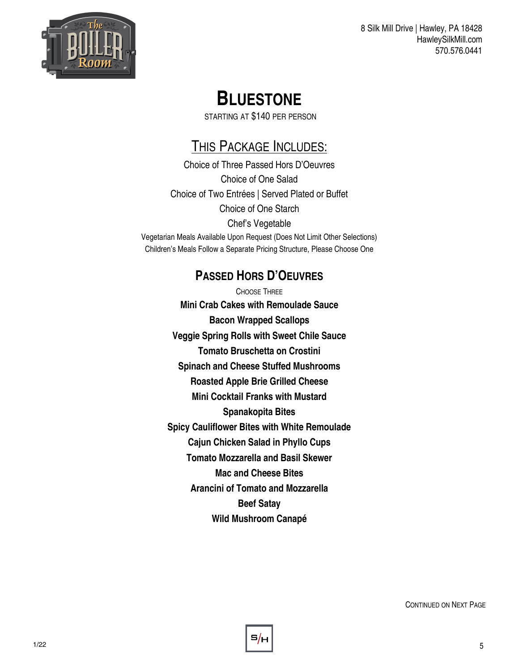

# **BLUESTONE**

STARTING AT \$140 PER PERSON

# THIS PACKAGE INCLUDES:

Choice of Three Passed Hors D'Oeuvres Choice of One Salad Choice of Two Entrées | Served Plated or Buffet Choice of One Starch Chef's Vegetable Vegetarian Meals Available Upon Request (Does Not Limit Other Selections) Children's Meals Follow a Separate Pricing Structure, Please Choose One

### **PASSED HORS D'OEUVRES**

CHOOSE THREE **Mini Crab Cakes with Remoulade Sauce Bacon Wrapped Scallops Veggie Spring Rolls with Sweet Chile Sauce Tomato Bruschetta on Crostini Spinach and Cheese Stuffed Mushrooms Roasted Apple Brie Grilled Cheese Mini Cocktail Franks with Mustard Spanakopita Bites Spicy Cauliflower Bites with White Remoulade Cajun Chicken Salad in Phyllo Cups Tomato Mozzarella and Basil Skewer Mac and Cheese Bites Arancini of Tomato and Mozzarella Beef Satay Wild Mushroom Canapé**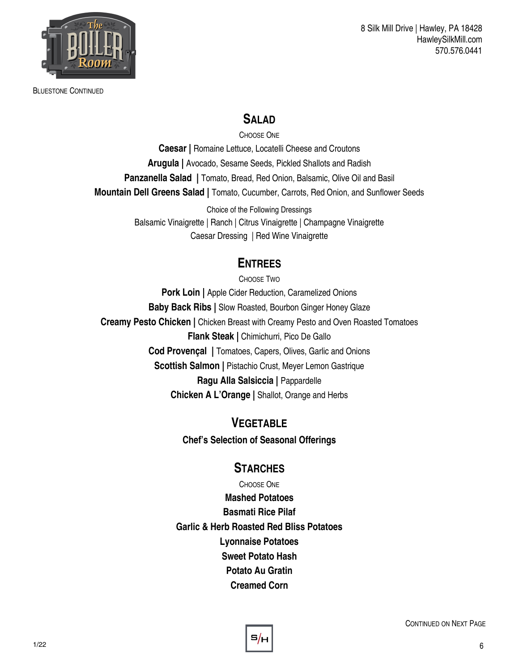

BLUESTONE CONTINUED

8 Silk Mill Drive | Hawley, PA 18428 HawleySilkMill.com 570.576.0441

#### **SALAD**

CHOOSE ONE

**Caesar |** Romaine Lettuce, Locatelli Cheese and Croutons **Arugula |** Avocado, Sesame Seeds, Pickled Shallots and Radish **Panzanella Salad |** Tomato, Bread, Red Onion, Balsamic, Olive Oil and Basil **Mountain Dell Greens Salad |** Tomato, Cucumber, Carrots, Red Onion, and Sunflower Seeds

> Choice of the Following Dressings Balsamic Vinaigrette | Ranch | Citrus Vinaigrette | Champagne Vinaigrette Caesar Dressing | Red Wine Vinaigrette

#### **ENTREES**

CHOOSE TWO **Pork Loin | Apple Cider Reduction, Caramelized Onions Baby Back Ribs |** Slow Roasted, Bourbon Ginger Honey Glaze **Creamy Pesto Chicken |** Chicken Breast with Creamy Pesto and Oven Roasted Tomatoes **Flank Steak | Chimichurri, Pico De Gallo Cod Provençal |** Tomatoes, Capers, Olives, Garlic and Onions **Scottish Salmon | Pistachio Crust, Meyer Lemon Gastrique Ragu Alla Salsiccia |** Pappardelle **Chicken A L'Orange |** Shallot, Orange and Herbs

> **VEGETABLE Chef's Selection of Seasonal Offerings**

#### **STARCHES**

CHOOSE ONE **Mashed Potatoes Basmati Rice Pilaf Garlic & Herb Roasted Red Bliss Potatoes Lyonnaise Potatoes Sweet Potato Hash Potato Au Gratin Creamed Corn** 

s/.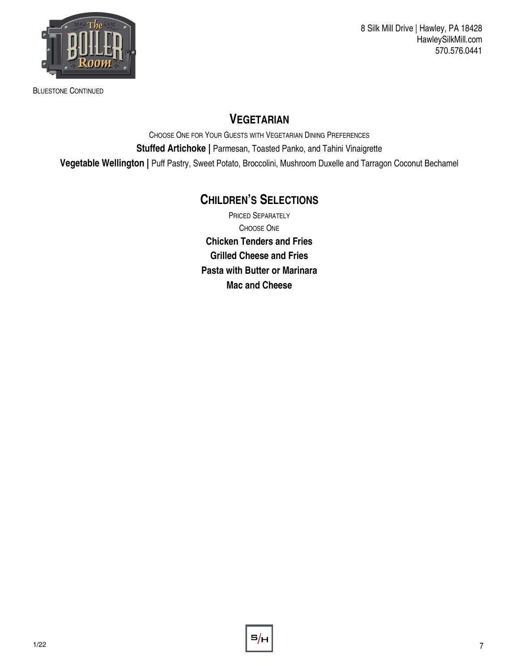

BLUESTONE CONTINUED

#### **VEGETARIAN**

CHOOSE ONE FOR YOUR GUESTS WITH VEGETARIAN DINING PREFERENCES **Stuffed Artichoke | Parmesan, Toasted Panko, and Tahini Vinaigrette Vegetable Wellington |** Puff Pastry, Sweet Potato, Broccolini, Mushroom Duxelle and Tarragon Coconut Bechamel

#### **CHILDREN'S SELECTIONS**

PRICED SEPARATELY CHOOSE ONE **Chicken Tenders and Fries Grilled Cheese and Fries Pasta with Butter or Marinara Mac and Cheese** 

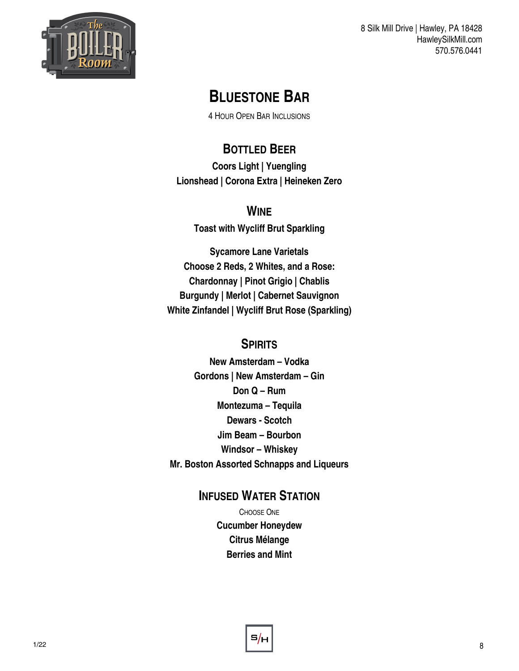

# **BLUESTONE BAR**

4 HOUR OPEN BAR INCLUSIONS

# **BOTTLED BEER**

**Coors Light | Yuengling Lionshead | Corona Extra | Heineken Zero** 

#### **WINE**

**Toast with Wycliff Brut Sparkling**

**Sycamore Lane Varietals Choose 2 Reds, 2 Whites, and a Rose: Chardonnay | Pinot Grigio | Chablis Burgundy | Merlot | Cabernet Sauvignon White Zinfandel | Wycliff Brut Rose (Sparkling)**

#### **SPIRITS**

**New Amsterdam – Vodka Gordons | New Amsterdam – Gin Don Q – Rum Montezuma – Tequila Dewars - Scotch Jim Beam – Bourbon Windsor – Whiskey Mr. Boston Assorted Schnapps and Liqueurs**

#### **INFUSED WATER STATION**

CHOOSE ONE **Cucumber Honeydew Citrus Mélange Berries and Mint**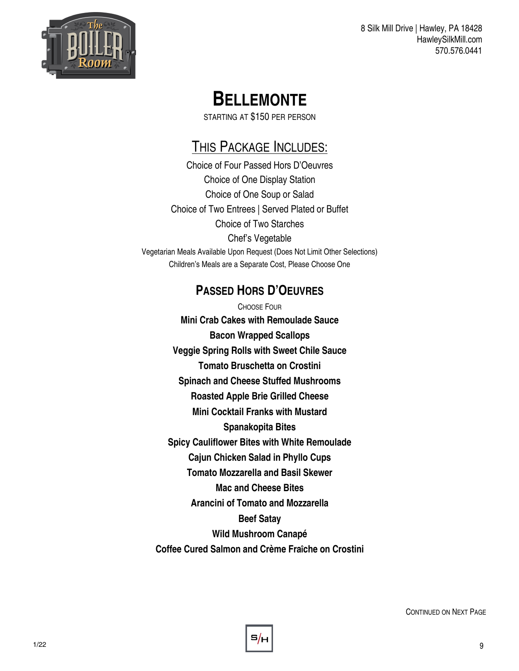

# **BELLEMONTE**

STARTING AT \$150 PER PERSON

# THIS PACKAGE INCLUDES:

Choice of Four Passed Hors D'Oeuvres Choice of One Display Station Choice of One Soup or Salad Choice of Two Entrees | Served Plated or Buffet Choice of Two Starches Chef's Vegetable Vegetarian Meals Available Upon Request (Does Not Limit Other Selections) Children's Meals are a Separate Cost, Please Choose One

## **PASSED HORS D'OEUVRES**

CHOOSE FOUR **Mini Crab Cakes with Remoulade Sauce Bacon Wrapped Scallops Veggie Spring Rolls with Sweet Chile Sauce Tomato Bruschetta on Crostini Spinach and Cheese Stuffed Mushrooms Roasted Apple Brie Grilled Cheese Mini Cocktail Franks with Mustard Spanakopita Bites Spicy Cauliflower Bites with White Remoulade Cajun Chicken Salad in Phyllo Cups Tomato Mozzarella and Basil Skewer Mac and Cheese Bites Arancini of Tomato and Mozzarella Beef Satay Wild Mushroom Canapé Coffee Cured Salmon and Crème Fraîche on Crostini**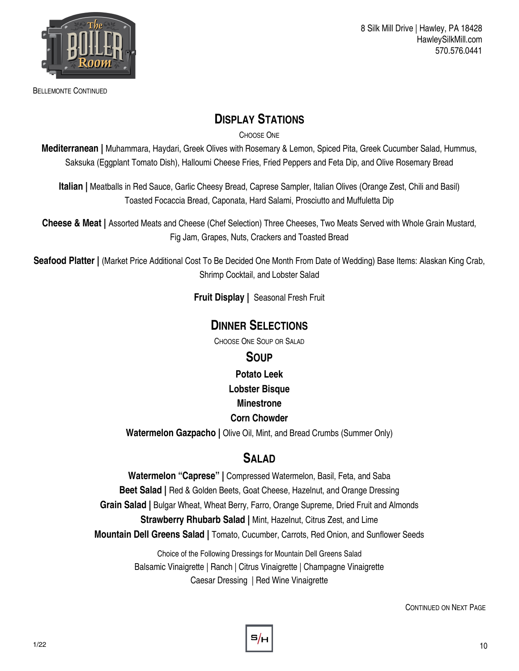

BELLEMONTE CONTINUED

#### **DISPLAY STATIONS**

CHOOSE ONE

**Mediterranean |** Muhammara, Haydari, Greek Olives with Rosemary & Lemon, Spiced Pita, Greek Cucumber Salad, Hummus, Saksuka (Eggplant Tomato Dish), Halloumi Cheese Fries, Fried Peppers and Feta Dip, and Olive Rosemary Bread

**Italian |** Meatballs in Red Sauce, Garlic Cheesy Bread, Caprese Sampler, Italian Olives (Orange Zest, Chili and Basil) Toasted Focaccia Bread, Caponata, Hard Salami, Prosciutto and Muffuletta Dip

**Cheese & Meat |** Assorted Meats and Cheese (Chef Selection) Three Cheeses, Two Meats Served with Whole Grain Mustard, Fig Jam, Grapes, Nuts, Crackers and Toasted Bread

Seafood Platter | (Market Price Additional Cost To Be Decided One Month From Date of Wedding) Base Items: Alaskan King Crab, Shrimp Cocktail, and Lobster Salad

**Fruit Display |** Seasonal Fresh Fruit

#### **DINNER SELECTIONS**

CHOOSE ONE SOUP OR SALAD

#### **SOUP**

**Potato Leek** 

**Lobster Bisque** 

#### **Minestrone**

#### **Corn Chowder**

**Watermelon Gazpacho |** Olive Oil, Mint, and Bread Crumbs (Summer Only)

#### S<sub>AL</sub>AD

**Watermelon "Caprese" |** Compressed Watermelon, Basil, Feta, and Saba **Beet Salad |** Red & Golden Beets, Goat Cheese, Hazelnut, and Orange Dressing **Grain Salad |** Bulgar Wheat, Wheat Berry, Farro, Orange Supreme, Dried Fruit and Almonds **Strawberry Rhubarb Salad |** Mint, Hazelnut, Citrus Zest, and Lime **Mountain Dell Greens Salad |** Tomato, Cucumber, Carrots, Red Onion, and Sunflower Seeds

> Choice of the Following Dressings for Mountain Dell Greens Salad Balsamic Vinaigrette | Ranch | Citrus Vinaigrette | Champagne Vinaigrette Caesar Dressing | Red Wine Vinaigrette

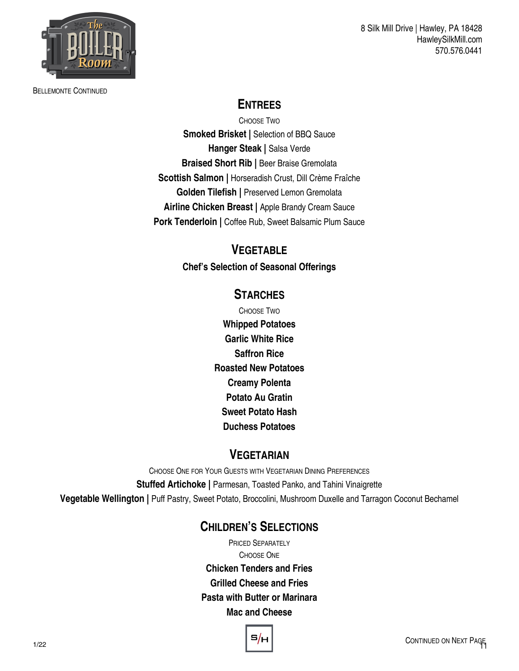

BELLEMONTE CONTINUED

## **ENTREES**

CHOOSE TWO **Smoked Brisket |** Selection of BBQ Sauce **Hanger Steak |** Salsa Verde **Braised Short Rib | Beer Braise Gremolata Scottish Salmon |** Horseradish Crust, Dill Crème Fraîche **Golden Tilefish |** Preserved Lemon Gremolata **Airline Chicken Breast |** Apple Brandy Cream Sauce **Pork Tenderloin | Coffee Rub, Sweet Balsamic Plum Sauce** 

#### **VEGETABLE**

**Chef's Selection of Seasonal Offerings**

#### **STARCHES**

CHOOSE TWO **Whipped Potatoes Garlic White Rice Saffron Rice Roasted New Potatoes Creamy Polenta Potato Au Gratin Sweet Potato Hash Duchess Potatoes** 

#### **VEGETARIAN**

CHOOSE ONE FOR YOUR GUESTS WITH VEGETARIAN DINING PREFERENCES **Stuffed Artichoke | Parmesan, Toasted Panko, and Tahini Vinaigrette Vegetable Wellington |** Puff Pastry, Sweet Potato, Broccolini, Mushroom Duxelle and Tarragon Coconut Bechamel

### **CHILDREN'S SELECTIONS**

PRICED SEPARATELY CHOOSE ONE **Chicken Tenders and Fries Grilled Cheese and Fries Pasta with Butter or Marinara Mac and Cheese** 

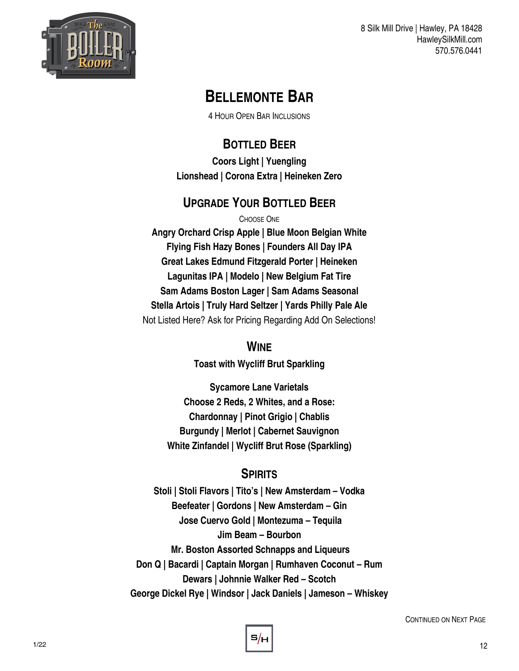

# **BELLEMONTE BAR**

4 HOUR OPEN BAR INCLUSIONS

# **BOTTLED BEER**

**Coors Light | Yuengling Lionshead | Corona Extra | Heineken Zero** 

# **UPGRADE YOUR BOTTLED BEER**

CHOOSE ONE **Angry Orchard Crisp Apple | Blue Moon Belgian White Flying Fish Hazy Bones | Founders All Day IPA Great Lakes Edmund Fitzgerald Porter | Heineken Lagunitas IPA | Modelo | New Belgium Fat Tire Sam Adams Boston Lager | Sam Adams Seasonal Stella Artois | Truly Hard Seltzer | Yards Philly Pale Ale**  Not Listed Here? Ask for Pricing Regarding Add On Selections!

#### **WINE**

**Toast with Wycliff Brut Sparkling**

**Sycamore Lane Varietals Choose 2 Reds, 2 Whites, and a Rose: Chardonnay | Pinot Grigio | Chablis Burgundy | Merlot | Cabernet Sauvignon White Zinfandel | Wycliff Brut Rose (Sparkling)**

#### **SPIRITS**

**Stoli | Stoli Flavors | Tito's | New Amsterdam – Vodka Beefeater | Gordons | New Amsterdam – Gin Jose Cuervo Gold | Montezuma – Tequila Jim Beam – Bourbon Mr. Boston Assorted Schnapps and Liqueurs Don Q | Bacardi | Captain Morgan | Rumhaven Coconut – Rum Dewars | Johnnie Walker Red – Scotch George Dickel Rye | Windsor | Jack Daniels | Jameson – Whiskey**

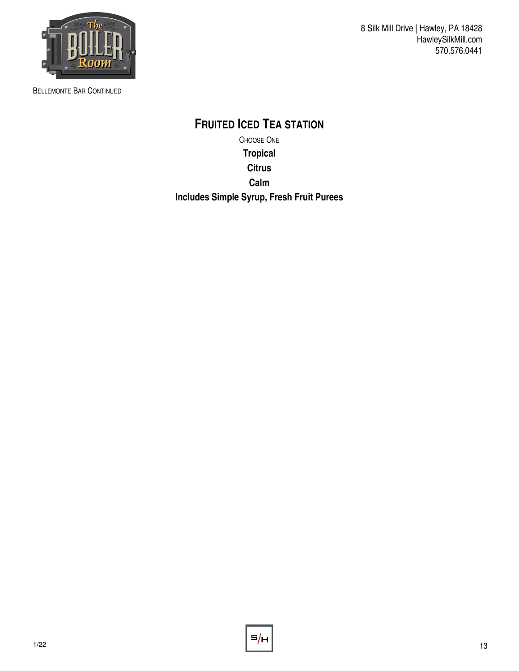

BELLEMONTE BAR CONTINUED

8 Silk Mill Drive | Hawley, PA 18428 HawleySilkMill.com 570.576.0441

**FRUITED ICED TEA STATION** CHOOSE ONE **Tropical Citrus Calm Includes Simple Syrup, Fresh Fruit Purees** 

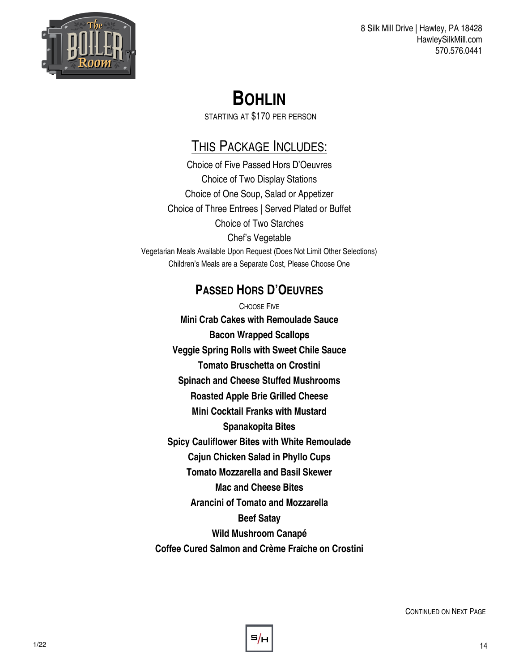

# **BOHLIN**

STARTING AT \$170 PER PERSON

# THIS PACKAGE INCLUDES:

Choice of Five Passed Hors D'Oeuvres Choice of Two Display Stations Choice of One Soup, Salad or Appetizer Choice of Three Entrees | Served Plated or Buffet Choice of Two Starches Chef's Vegetable Vegetarian Meals Available Upon Request (Does Not Limit Other Selections) Children's Meals are a Separate Cost, Please Choose One

## **PASSED HORS D'OEUVRES**

CHOOSE FIVE **Mini Crab Cakes with Remoulade Sauce Bacon Wrapped Scallops Veggie Spring Rolls with Sweet Chile Sauce Tomato Bruschetta on Crostini Spinach and Cheese Stuffed Mushrooms Roasted Apple Brie Grilled Cheese Mini Cocktail Franks with Mustard Spanakopita Bites Spicy Cauliflower Bites with White Remoulade Cajun Chicken Salad in Phyllo Cups Tomato Mozzarella and Basil Skewer Mac and Cheese Bites Arancini of Tomato and Mozzarella Beef Satay Wild Mushroom Canapé Coffee Cured Salmon and Crème Fraîche on Crostini**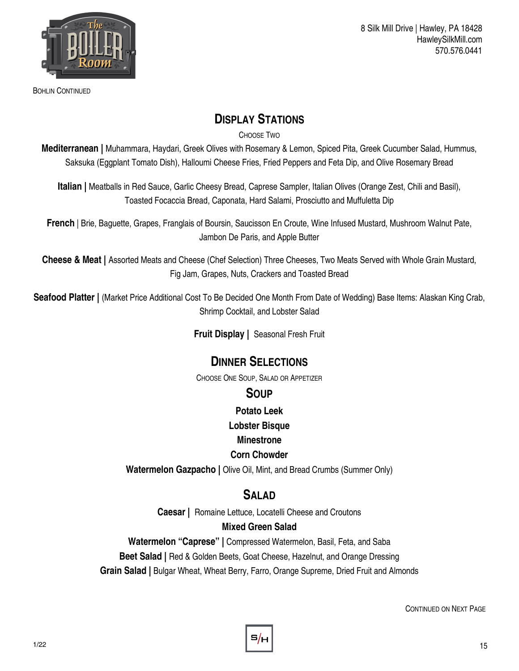

BOHLIN CONTINUED

#### **DISPLAY STATIONS**

CHOOSE TWO

**Mediterranean |** Muhammara, Haydari, Greek Olives with Rosemary & Lemon, Spiced Pita, Greek Cucumber Salad, Hummus, Saksuka (Eggplant Tomato Dish), Halloumi Cheese Fries, Fried Peppers and Feta Dip, and Olive Rosemary Bread

**Italian |** Meatballs in Red Sauce, Garlic Cheesy Bread, Caprese Sampler, Italian Olives (Orange Zest, Chili and Basil), Toasted Focaccia Bread, Caponata, Hard Salami, Prosciutto and Muffuletta Dip

**French** | Brie, Baguette, Grapes, Franglais of Boursin, Saucisson En Croute, Wine Infused Mustard, Mushroom Walnut Pate, Jambon De Paris, and Apple Butter

**Cheese & Meat |** Assorted Meats and Cheese (Chef Selection) Three Cheeses, Two Meats Served with Whole Grain Mustard, Fig Jam, Grapes, Nuts, Crackers and Toasted Bread

Seafood Platter | (Market Price Additional Cost To Be Decided One Month From Date of Wedding) Base Items: Alaskan King Crab, Shrimp Cocktail, and Lobster Salad

**Fruit Display |** Seasonal Fresh Fruit

#### **DINNER SELECTIONS**

CHOOSE ONE SOUP, SALAD OR APPETIZER

#### **SOUP**

**Potato Leek** 

**Lobster Bisque** 

#### **Minestrone**

#### **Corn Chowder**

**Watermelon Gazpacho | Olive Oil, Mint, and Bread Crumbs (Summer Only)** 

#### **SALAD**

**Caesar |** Romaine Lettuce, Locatelli Cheese and Croutons

#### **Mixed Green Salad**

**Watermelon "Caprese" |** Compressed Watermelon, Basil, Feta, and Saba **Beet Salad |** Red & Golden Beets, Goat Cheese, Hazelnut, and Orange Dressing **Grain Salad |** Bulgar Wheat, Wheat Berry, Farro, Orange Supreme, Dried Fruit and Almonds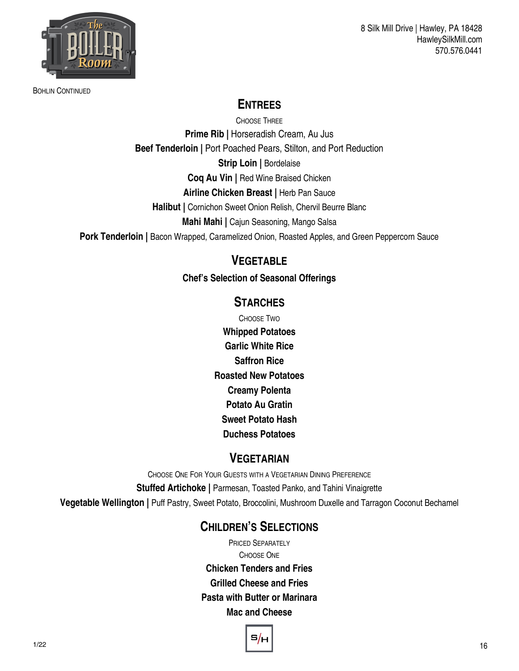

BOHLIN CONTINUED

### **ENTREES**

CHOOSE THREE **Prime Rib | Horseradish Cream, Au Jus Beef Tenderloin |** Port Poached Pears, Stilton, and Port Reduction

**Strip Loin | Bordelaise Coq Au Vin |** Red Wine Braised Chicken

**Airline Chicken Breast |** Herb Pan Sauce

**Halibut |** Cornichon Sweet Onion Relish, Chervil Beurre Blanc

**Mahi Mahi |** Cajun Seasoning, Mango Salsa

**Pork Tenderloin | Bacon Wrapped, Caramelized Onion, Roasted Apples, and Green Peppercorn Sauce** 

#### **VEGETABLE**

**Chef's Selection of Seasonal Offerings**

#### **STARCHES**

CHOOSE TWO **Whipped Potatoes Garlic White Rice Saffron Rice Roasted New Potatoes Creamy Polenta Potato Au Gratin Sweet Potato Hash Duchess Potatoes** 

#### **VEGETARIAN**

CHOOSE ONE FOR YOUR GUESTS WITH A VEGETARIAN DINING PREFERENCE **Stuffed Artichoke | Parmesan, Toasted Panko, and Tahini Vinaigrette** 

**Vegetable Wellington |** Puff Pastry, Sweet Potato, Broccolini, Mushroom Duxelle and Tarragon Coconut Bechamel

#### **CHILDREN'S SELECTIONS**

PRICED SEPARATELY CHOOSE ONE **Chicken Tenders and Fries Grilled Cheese and Fries Pasta with Butter or Marinara Mac and Cheese** 

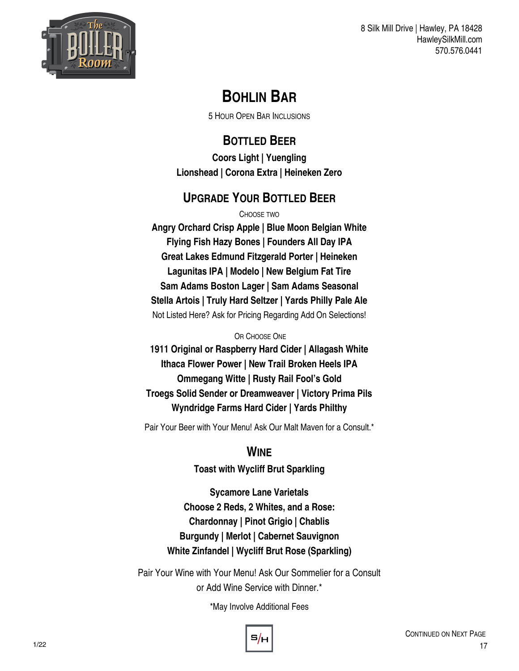

# **BOHLIN BAR**

5 HOUR OPEN BAR INCLUSIONS

#### **BOTTLED BEER Coors Light | Yuengling Lionshead | Corona Extra | Heineken Zero**

# **UPGRADE YOUR BOTTLED BEER**

CHOOSE TWO

**Angry Orchard Crisp Apple | Blue Moon Belgian White Flying Fish Hazy Bones | Founders All Day IPA Great Lakes Edmund Fitzgerald Porter | Heineken Lagunitas IPA | Modelo | New Belgium Fat Tire Sam Adams Boston Lager | Sam Adams Seasonal Stella Artois | Truly Hard Seltzer | Yards Philly Pale Ale**  Not Listed Here? Ask for Pricing Regarding Add On Selections!

#### OR CHOOSE ONE

**1911 Original or Raspberry Hard Cider | Allagash White Ithaca Flower Power | New Trail Broken Heels IPA Ommegang Witte | Rusty Rail Fool's Gold Troegs Solid Sender or Dreamweaver | Victory Prima Pils Wyndridge Farms Hard Cider | Yards Philthy** 

Pair Your Beer with Your Menu! Ask Our Malt Maven for a Consult.\*

### **WINE**

**Toast with Wycliff Brut Sparkling**

**Sycamore Lane Varietals Choose 2 Reds, 2 Whites, and a Rose: Chardonnay | Pinot Grigio | Chablis Burgundy | Merlot | Cabernet Sauvignon White Zinfandel | Wycliff Brut Rose (Sparkling)**

Pair Your Wine with Your Menu! Ask Our Sommelier for a Consult or Add Wine Service with Dinner.\*

\*May Involve Additional Fees

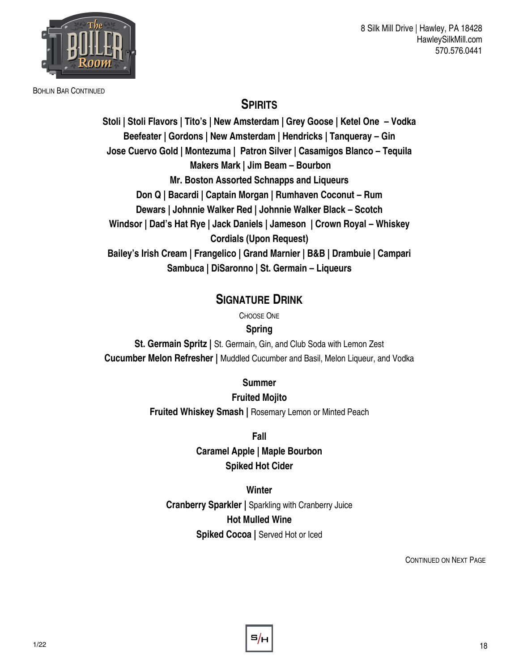

BOHLIN BAR CONTINUED

#### **SPIRITS**

**Stoli | Stoli Flavors | Tito's | New Amsterdam | Grey Goose | Ketel One – Vodka Beefeater | Gordons | New Amsterdam | Hendricks | Tanqueray – Gin Jose Cuervo Gold | Montezuma | Patron Silver | Casamigos Blanco – Tequila Makers Mark | Jim Beam – Bourbon Mr. Boston Assorted Schnapps and Liqueurs Don Q | Bacardi | Captain Morgan | Rumhaven Coconut – Rum Dewars | Johnnie Walker Red | Johnnie Walker Black – Scotch Windsor | Dad's Hat Rye | Jack Daniels | Jameson | Crown Royal – Whiskey Cordials (Upon Request) Bailey's Irish Cream | Frangelico | Grand Marnier | B&B | Drambuie | Campari Sambuca | DiSaronno | St. Germain – Liqueurs**

#### **SIGNATURE DRINK**

CHOOSE ONE

**Spring**

**St. Germain Spritz |** St. Germain, Gin, and Club Soda with Lemon Zest **Cucumber Melon Refresher |** Muddled Cucumber and Basil, Melon Liqueur, and Vodka

**Summer**

**Fruited Mojito**

**Fruited Whiskey Smash |** Rosemary Lemon or Minted Peach

**Fall**

**Caramel Apple | Maple Bourbon Spiked Hot Cider**

**Winter Cranberry Sparkler |** Sparkling with Cranberry Juice **Hot Mulled Wine Spiked Cocoa |** Served Hot or Iced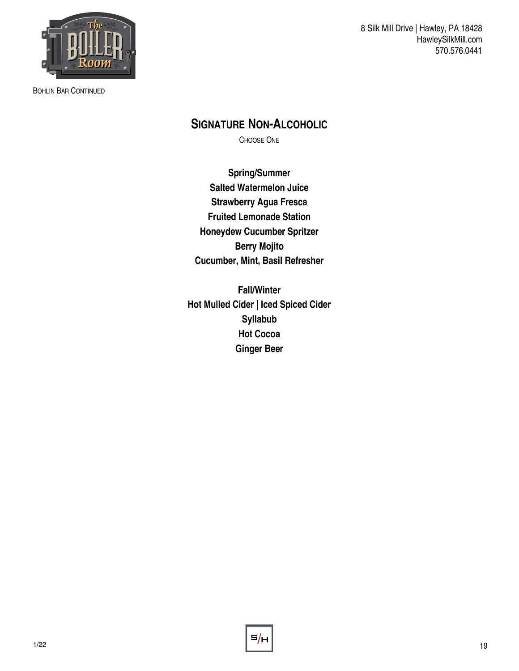

BOHLIN BAR CONTINUED

8 Silk Mill Drive | Hawley, PA 18428 HawleySilkMill.com 570.576.0441

### **SIGNATURE NON-ALCOHOLIC**

CHOOSE ONE

**Spring/Summer Salted Watermelon Juice Strawberry Agua Fresca Fruited Lemonade Station Honeydew Cucumber Spritzer Berry Mojito Cucumber, Mint, Basil Refresher**

**Fall/Winter Hot Mulled Cider | Iced Spiced Cider Syllabub Hot Cocoa Ginger Beer**

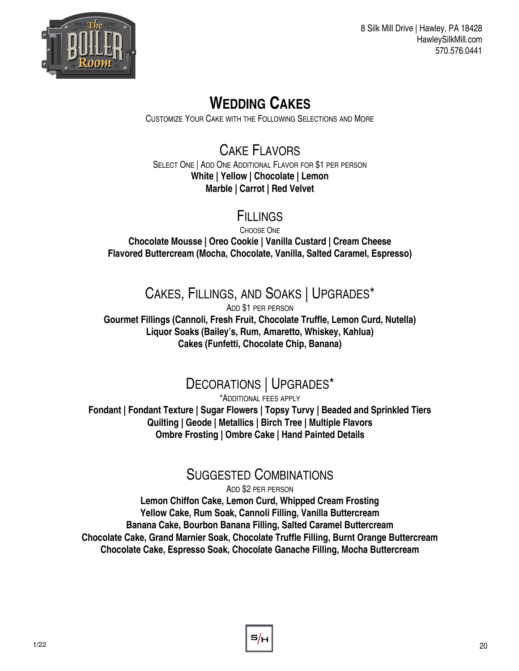

# **WEDDING CAKES**

CUSTOMIZE YOUR CAKE WITH THE FOLLOWING SELECTIONS AND MORE

#### CAKE FLAVORS SELECT ONE | ADD ONE ADDITIONAL FLAVOR FOR \$1 PER PERSON **White | Yellow | Chocolate | Lemon Marble | Carrot | Red Velvet**

# **FILLINGS**

CHOOSE ONE **Chocolate Mousse | Oreo Cookie | Vanilla Custard | Cream Cheese Flavored Buttercream (Mocha, Chocolate, Vanilla, Salted Caramel, Espresso)**

# CAKES, FILLINGS, AND SOAKS | UPGRADES\*

ADD \$1 PER PERSON **Gourmet Fillings (Cannoli, Fresh Fruit, Chocolate Truffle, Lemon Curd, Nutella) Liquor Soaks (Bailey's, Rum, Amaretto, Whiskey, Kahlua) Cakes (Funfetti, Chocolate Chip, Banana)**

# DECORATIONS | UPGRADES\*

\*ADDITIONAL FEES APPLY **Fondant | Fondant Texture | Sugar Flowers | Topsy Turvy | Beaded and Sprinkled Tiers Quilting | Geode | Metallics | Birch Tree | Multiple Flavors Ombre Frosting | Ombre Cake | Hand Painted Details**

# SUGGESTED COMBINATIONS

ADD \$2 PER PERSON

**Lemon Chiffon Cake, Lemon Curd, Whipped Cream Frosting Yellow Cake, Rum Soak, Cannoli Filling, Vanilla Buttercream Banana Cake, Bourbon Banana Filling, Salted Caramel Buttercream Chocolate Cake, Grand Marnier Soak, Chocolate Truffle Filling, Burnt Orange Buttercream Chocolate Cake, Espresso Soak, Chocolate Ganache Filling, Mocha Buttercream**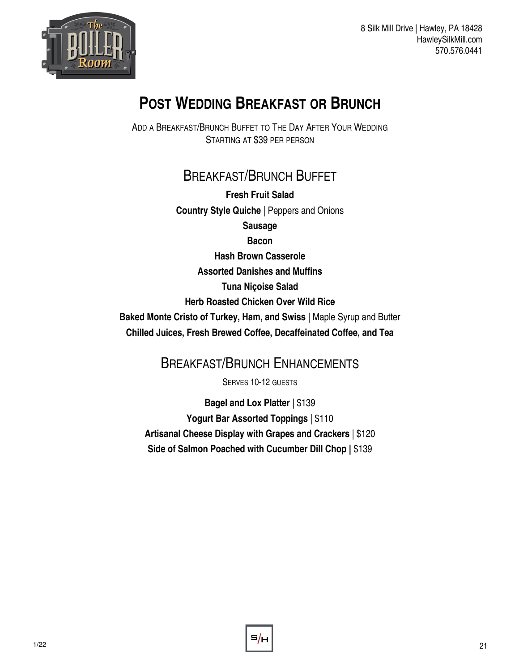

# **POST WEDDING BREAKFAST OR BRUNCH**

ADD A BREAKFAST/BRUNCH BUFFET TO THE DAY AFTER YOUR WEDDING STARTING AT \$39 PER PERSON

# BREAKFAST/BRUNCH BUFFET

**Fresh Fruit Salad Country Style Quiche** | Peppers and Onions **Sausage**

**Bacon** 

**Hash Brown Casserole**

**Assorted Danishes and Muffins**

**Tuna Niçoise Salad**

**Herb Roasted Chicken Over Wild Rice**

**Baked Monte Cristo of Turkey, Ham, and Swiss** | Maple Syrup and Butter **Chilled Juices, Fresh Brewed Coffee, Decaffeinated Coffee, and Tea**

# BREAKFAST/BRUNCH ENHANCEMENTS

SERVES 10-12 GUESTS

**Bagel and Lox Platter** | \$139 **Yogurt Bar Assorted Toppings** | \$110 **Artisanal Cheese Display with Grapes and Crackers** | \$120 **Side of Salmon Poached with Cucumber Dill Chop |** \$139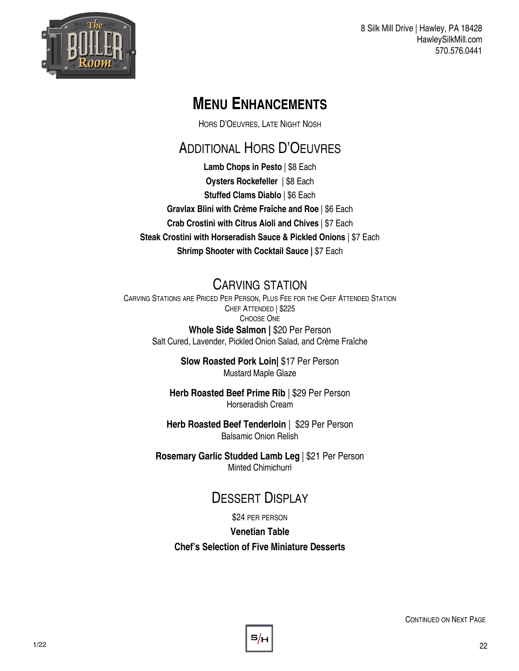

# **MENU ENHANCEMENTS**

HORS D'OEUVRES, LATE NIGHT NOSH

# ADDITIONAL HORS D'OEUVRES

**Lamb Chops in Pesto** | \$8 Each **Oysters Rockefeller** | \$8 Each **Stuffed Clams Diablo** | \$6 Each **Gravlax Blini with Crème Fraîche and Roe** | \$6 Each **Crab Crostini with Citrus Aioli and Chives** | \$7 Each **Steak Crostini with Horseradish Sauce & Pickled Onions** | \$7 Each **Shrimp Shooter with Cocktail Sauce |** \$7 Each

# CARVING STATION

CARVING STATIONS ARE PRICED PER PERSON, PLUS FEE FOR THE CHEF ATTENDED STATION CHEF ATTENDED | \$225 CHOOSE ONE **Whole Side Salmon |** \$20 Per Person Salt Cured, Lavender, Pickled Onion Salad, and Crème Fraîche

> **Slow Roasted Pork Loin|** \$17 Per Person Mustard Maple Glaze

**Herb Roasted Beef Prime Rib** | \$29 Per Person Horseradish Cream

**Herb Roasted Beef Tenderloin** | \$29 Per Person Balsamic Onion Relish

**Rosemary Garlic Studded Lamb Leg** | \$21 Per Person Minted Chimichurri

# DESSERT DISPLAY

\$24 PER PERSON

**Venetian Table**

**Chef's Selection of Five Miniature Desserts**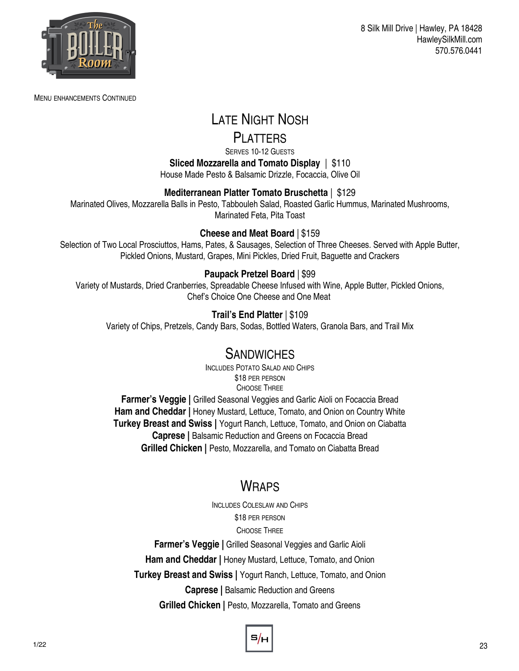

MENU ENHANCEMENTS CONTINUED

8 Silk Mill Drive | Hawley, PA 18428 HawleySilkMill.com 570.576.0441

# LATE NIGHT NOSH

#### PI ATTERS

SERVES 10-12 GUESTS **Sliced Mozzarella and Tomato Display** | \$110 House Made Pesto & Balsamic Drizzle, Focaccia, Olive Oil

#### **Mediterranean Platter Tomato Bruschetta** | \$129

Marinated Olives, Mozzarella Balls in Pesto, Tabbouleh Salad, Roasted Garlic Hummus, Marinated Mushrooms, Marinated Feta, Pita Toast

#### **Cheese and Meat Board** | \$159

Selection of Two Local Prosciuttos, Hams, Pates, & Sausages, Selection of Three Cheeses. Served with Apple Butter, Pickled Onions, Mustard, Grapes, Mini Pickles, Dried Fruit, Baguette and Crackers

#### **Paupack Pretzel Board** | \$99

Variety of Mustards, Dried Cranberries, Spreadable Cheese Infused with Wine, Apple Butter, Pickled Onions, Chef's Choice One Cheese and One Meat

#### **Trail's End Platter** | \$109

Variety of Chips, Pretzels, Candy Bars, Sodas, Bottled Waters, Granola Bars, and Trail Mix

#### **SANDWICHES**

INCLUDES POTATO SALAD AND CHIPS \$18 PER PERSON CHOOSE THREE

**Farmer's Veggie |** Grilled Seasonal Veggies and Garlic Aioli on Focaccia Bread **Ham and Cheddar | Honey Mustard, Lettuce, Tomato, and Onion on Country White Turkey Breast and Swiss |** Yogurt Ranch, Lettuce, Tomato, and Onion on Ciabatta **Caprese |** Balsamic Reduction and Greens on Focaccia Bread **Grilled Chicken | Pesto, Mozzarella, and Tomato on Ciabatta Bread** 

### **WRAPS**

INCLUDES COLESLAW AND CHIPS \$18 PER PERSON CHOOSE THREE **Farmer's Veggie | Grilled Seasonal Veggies and Garlic Aioli Ham and Cheddar | Honey Mustard, Lettuce, Tomato, and Onion** 

**Turkey Breast and Swiss |** Yogurt Ranch, Lettuce, Tomato, and Onion

**Caprese |** Balsamic Reduction and Greens

**Grilled Chicken |** Pesto, Mozzarella, Tomato and Greens